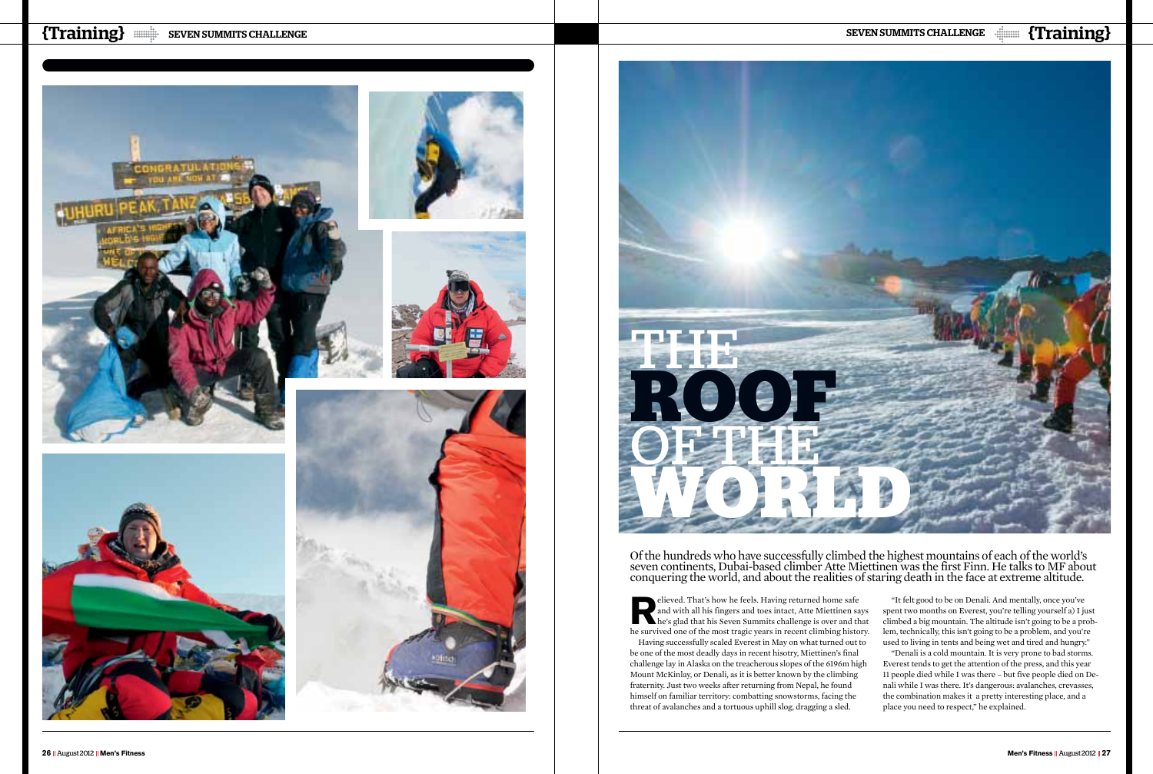Fileved. That's how he feels. Having returned home safe<br>and with all his fingers and toes intact, Atte Miettinen sa<br>he's glad that his Seven Summits challenge is over and the<br>servived one of the meet tregis veers in recent and with all his fingers and toes intact, Atte Miettinen says he's glad that his Seven Summits challenge is over and that he survived one of the most tragic years in recent climbing history. Having successfully scaled Everest in May on what turned out to be one of the most deadly days in recent hisotry, Miettinen's final challenge lay in Alaska on the treacherous slopes of the 6196m high Mount McKinlay, or Denali, as it is better known by the climbing fraternity. Just two weeks after returning from Nepal, he found himself on familiar territory: combatting snowstorms, facing the threat of avalanches and a tortuous uphill slog, dragging a sled.

# EVEN SUMMITS CHALLENGE SEVEN SUMMITS CHALLENGE SEVEN SUMMITS CHALLENGE  $\text{min}$  (Training)









Of the hundreds who have successfully climbed the highest mountains of each of the world's seven continents, Dubai-based climber Atte Miettinen was the first Finn. He talks to MF about conquering the world, and about the realities of staring death in the face at extreme altitude.

> "It felt good to be on Denali. And mentally, once you've spent two months on Everest, you're telling yourself a) I just climbed a big mountain. The altitude isn't going to be a problem, technically, this isn't going to be a problem, and you're used to living in tents and being wet and tired and hungry." "Denali is a cold mountain. It is very prone to bad storms. Everest tends to get the attention of the press, and this year 11 people died while I was there – but five people died on Denali while I was there. It's dangerous: avalanches, crevasses, the combination makes it a pretty interesting place, and a place you need to respect," he explained.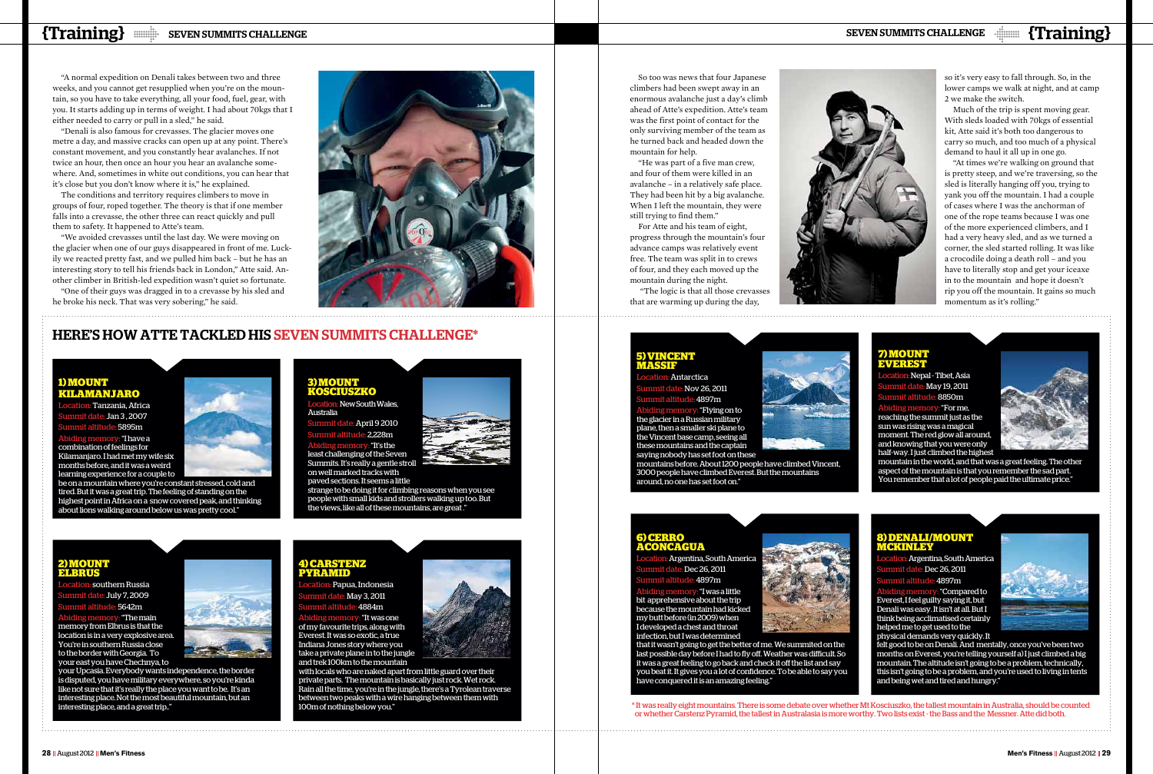

Nepal - Tibet, Asia May 19, 2011 8850m

"For me, reaching the summit just as the sun was rising was a magical moment. The red glow all around, and knowing that you were only half-way. I just climbed the highest



"It's the least challenging of the Seven Summits. It's really a gentle stroll on well marked tracks with

mountain in the world, and that was a great feeling. The other aspect of the mountain is that you remember the sad part. You remember that a lot of people paid the ultimate price."

## **3) Mount Kosciuszko**

Location: New South Wales, Australia

April 9 2010  $222$ m

: "Flying on to the glacier in a Russian military plane, then a smaller ski plane to .<br>the Vincent base camp, seeing all these mountains and the captain saying nobody has set foot on these

paved sections. It seems a little

: Tanzania, Africa  $:$  Jan 3 , 2007 **S895m** "I have a combination of feelings for Kilamanjaro. I had met my wife six months before, and it was a weird learning experience for a couple to

> strange to be doing it for climbing reasons when you see people with small kids and strollers walking up too. But the views, like all of these mountains, are great ."

## Here's how Atte tackled his Seven summits challenge\*

#### **5) Vincent Massif**

Antarctica  $\approx$  Nov 26, 2011 4897m

. "I was a little bit apprehensive about the trip because the mountain had kicked my butt before (in 2009) when I developed a chest and throat infection, but I was determined

that it wasn't going to get the better of me. We summited on the last possible day before I had to fly off. Weather was difficult. So it was a great feeling to go back and check it off the list and say you beat it. It gives you a lot of confidence. To be able to say you .<br>have conquered it is an amazing feeling.



mountains before. About 1200 people have climbed Vincent, 3000 people have climbed Everest. But the mountains around, no one has set foot on."

#### **1) Mount Kilamanjaro**

Argentina, South America  $B$ ec 26, 2011 4897m Abiding memory: "Compared to

be on a mountain where you're constant stressed, cold and tired. But it was a great trip. The feeling of standing on the highest point in Africa on a snow covered peak, and thinking about lions walking around below us was pretty cool."

#### **6) Cerro Aconcagua**

Argentina, South Americ  $B$ ec 26, 2011 4897m

## **2) Mount Elbrus**

southern Russia e: July 7, 2009 5642m

Abiding memory: "The main memory from Elbrus is that the location is in a very explosive area. You're in southern Russia close to the border with Georgia. To your east you have Chechnya, to

your Upcasia. Everybody wants independence, the border is disputed, you have military everywhere, so you're kinda like not sure that it's really the place you want to be. It's an interesting place. Not the most beautiful mountain, but an interesting place, and a great trip.."

### **8) Denali/Mount McKinley**

Everest, I feel guilty saying it, but Denali was easy. It isn't at all. But I think being acclimatised certainly helped me to get used to the physical demands very quickly. It



felt good to be on Denali. And mentally, once you've been two months on Everest, you're telling yourself a) I just climbed a big mountain. The altitude isn't going to be a problem, technically, this isn't going to be a problem, and you're used to living in tents and being wet and tired and hungry."

## **4) Carstenz Pyramid**

Papua, Indonesia e: May 3, 2011 4884m

Abiding memory: "It was one of my favourite trips, along with Everest. It was so exotic, a true Indiana Jones story where you take a private plane in to the jungle and trek 100km to the mountain



with locals who are naked apart from little guard over their private parts. The mountain is basically just rock. Wet rock. Rain all the time, you're in the jungle, there's a Tyrolean traverse between two peaks with a wire hanging between them with 100m of nothing below you."

So too was news that four Japanese climbers had been swept away in an enormous avalanche just a day's climb ahead of Atte's expedition. Atte's team was the first point of contact for the only surviving member of the team as he turned back and headed down the mountain for help.

"He was part of a five man crew, and four of them were killed in an avalanche – in a relatively safe place. They had been hit by a big avalanche. When I left the mountain, they were still trying to find them."

For Atte and his team of eight, progress through the mountain's four advance camps was relatively event free. The team was split in to crews of four, and they each moved up the mountain during the night.

 "The logic is that all those crevasses that are warming up during the day,

# EVEN SUMMITS CHALLENGE SEVEN SUMMITS CHALLENGE SEVEN SUMMITS CHALLENGE  $\text{min}$  (Training)

"A normal expedition on Denali takes between two and three weeks, and you cannot get resupplied when you're on the mountain, so you have to take everything, all your food, fuel, gear, with you. It starts adding up in terms of weight. I had about 70kgs that I either needed to carry or pull in a sled," he said.

"Denali is also famous for crevasses. The glacier moves one metre a day, and massive cracks can open up at any point. There's constant movement, and you constantly hear avalanches. If not twice an hour, then once an hour you hear an avalanche somewhere. And, sometimes in white out conditions, you can hear that it's close but you don't know where it is," he explained.

The conditions and territory requires climbers to move in groups of four, roped together. The theory is that if one member falls into a crevasse, the other three can react quickly and pull them to safety. It happened to Atte's team.

"We avoided crevasses until the last day. We were moving on the glacier when one of our guys disappeared in front of me. Luckily we reacted pretty fast, and we pulled him back – but he has an interesting story to tell his friends back in London," Atte said. Another climber in British-led expedition wasn't quiet so fortunate. "One of their guys was dragged in to a crevasse by his sled and

he broke his neck. That was very sobering," he said.



so it's very easy to fall through. So, in the lower camps we walk at night, and at camp 2 we make the switch.

Much of the trip is spent moving gear. With sleds loaded with 70kgs of essential kit, Atte said it's both too dangerous to carry so much, and too much of a physical demand to haul it all up in one go.

"At times we're walking on ground that is pretty steep, and we're traversing, so the sled is literally hanging off you, trying to yank you off the mountain. I had a couple of cases where I was the anchorman of one of the rope teams because I was one of the more experienced climbers, and I had a very heavy sled, and as we turned a corner, the sled started rolling. It was like a crocodile doing a death roll – and you have to literally stop and get your iceaxe in to the mountain and hope it doesn't rip you off the mountain. It gains so much momentum as it's rolling."

\* It was really eight mountains. There is some debate over whether Mt Kosciuszko, the tallest mountain in Australia, should be counted or whether Carstenz Pyramid, the tallest in Australasia is more worthy. Two lists exist - the Bass and the Messner. Atte did both.